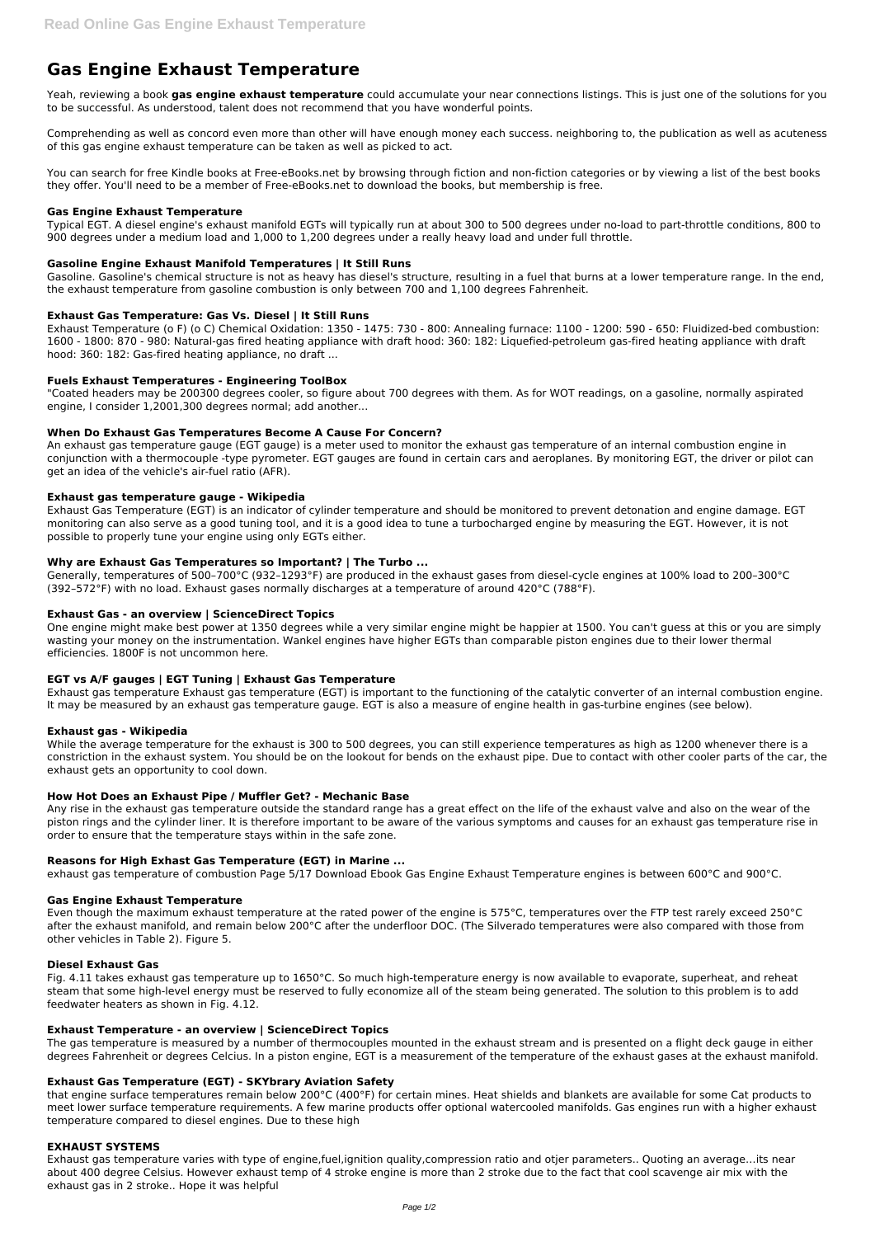# **Gas Engine Exhaust Temperature**

Yeah, reviewing a book **gas engine exhaust temperature** could accumulate your near connections listings. This is just one of the solutions for you to be successful. As understood, talent does not recommend that you have wonderful points.

Comprehending as well as concord even more than other will have enough money each success. neighboring to, the publication as well as acuteness of this gas engine exhaust temperature can be taken as well as picked to act.

You can search for free Kindle books at Free-eBooks.net by browsing through fiction and non-fiction categories or by viewing a list of the best books they offer. You'll need to be a member of Free-eBooks.net to download the books, but membership is free.

#### **Gas Engine Exhaust Temperature**

Typical EGT. A diesel engine's exhaust manifold EGTs will typically run at about 300 to 500 degrees under no-load to part-throttle conditions, 800 to 900 degrees under a medium load and 1,000 to 1,200 degrees under a really heavy load and under full throttle.

## **Gasoline Engine Exhaust Manifold Temperatures | It Still Runs**

Gasoline. Gasoline's chemical structure is not as heavy has diesel's structure, resulting in a fuel that burns at a lower temperature range. In the end, the exhaust temperature from gasoline combustion is only between 700 and 1,100 degrees Fahrenheit.

## **Exhaust Gas Temperature: Gas Vs. Diesel | It Still Runs**

Exhaust Temperature (o F) (o C) Chemical Oxidation: 1350 - 1475: 730 - 800: Annealing furnace: 1100 - 1200: 590 - 650: Fluidized-bed combustion: 1600 - 1800: 870 - 980: Natural-gas fired heating appliance with draft hood: 360: 182: Liquefied-petroleum gas-fired heating appliance with draft hood: 360: 182: Gas-fired heating appliance, no draft ...

# **Fuels Exhaust Temperatures - Engineering ToolBox**

"Coated headers may be 200300 degrees cooler, so figure about 700 degrees with them. As for WOT readings, on a gasoline, normally aspirated engine, I consider 1,2001,300 degrees normal; add another...

## **When Do Exhaust Gas Temperatures Become A Cause For Concern?**

An exhaust gas temperature gauge (EGT gauge) is a meter used to monitor the exhaust gas temperature of an internal combustion engine in conjunction with a thermocouple -type pyrometer. EGT gauges are found in certain cars and aeroplanes. By monitoring EGT, the driver or pilot can get an idea of the vehicle's air-fuel ratio (AFR).

## **Exhaust gas temperature gauge - Wikipedia**

Exhaust Gas Temperature (EGT) is an indicator of cylinder temperature and should be monitored to prevent detonation and engine damage. EGT monitoring can also serve as a good tuning tool, and it is a good idea to tune a turbocharged engine by measuring the EGT. However, it is not possible to properly tune your engine using only EGTs either.

## **Why are Exhaust Gas Temperatures so Important? | The Turbo ...**

Generally, temperatures of 500–700°C (932–1293°F) are produced in the exhaust gases from diesel-cycle engines at 100% load to 200–300°C (392–572°F) with no load. Exhaust gases normally discharges at a temperature of around 420°C (788°F).

## **Exhaust Gas - an overview | ScienceDirect Topics**

One engine might make best power at 1350 degrees while a very similar engine might be happier at 1500. You can't guess at this or you are simply wasting your money on the instrumentation. Wankel engines have higher EGTs than comparable piston engines due to their lower thermal efficiencies. 1800F is not uncommon here.

## **EGT vs A/F gauges | EGT Tuning | Exhaust Gas Temperature**

Exhaust gas temperature Exhaust gas temperature (EGT) is important to the functioning of the catalytic converter of an internal combustion engine. It may be measured by an exhaust gas temperature gauge. EGT is also a measure of engine health in gas-turbine engines (see below).

## **Exhaust gas - Wikipedia**

While the average temperature for the exhaust is 300 to 500 degrees, you can still experience temperatures as high as 1200 whenever there is a constriction in the exhaust system. You should be on the lookout for bends on the exhaust pipe. Due to contact with other cooler parts of the car, the exhaust gets an opportunity to cool down.

## **How Hot Does an Exhaust Pipe / Muffler Get? - Mechanic Base**

Any rise in the exhaust gas temperature outside the standard range has a great effect on the life of the exhaust valve and also on the wear of the piston rings and the cylinder liner. It is therefore important to be aware of the various symptoms and causes for an exhaust gas temperature rise in order to ensure that the temperature stays within in the safe zone.

## **Reasons for High Exhast Gas Temperature (EGT) in Marine ...**

exhaust gas temperature of combustion Page 5/17 Download Ebook Gas Engine Exhaust Temperature engines is between 600°C and 900°C.

## **Gas Engine Exhaust Temperature**

Even though the maximum exhaust temperature at the rated power of the engine is 575°C, temperatures over the FTP test rarely exceed 250°C after the exhaust manifold, and remain below 200°C after the underfloor DOC. (The Silverado temperatures were also compared with those from

other vehicles in Table 2). Figure 5.

#### **Diesel Exhaust Gas**

Fig. 4.11 takes exhaust gas temperature up to 1650°C. So much high-temperature energy is now available to evaporate, superheat, and reheat steam that some high-level energy must be reserved to fully economize all of the steam being generated. The solution to this problem is to add feedwater heaters as shown in Fig. 4.12.

#### **Exhaust Temperature - an overview | ScienceDirect Topics**

The gas temperature is measured by a number of thermocouples mounted in the exhaust stream and is presented on a flight deck gauge in either degrees Fahrenheit or degrees Celcius. In a piston engine, EGT is a measurement of the temperature of the exhaust gases at the exhaust manifold.

#### **Exhaust Gas Temperature (EGT) - SKYbrary Aviation Safety**

that engine surface temperatures remain below 200°C (400°F) for certain mines. Heat shields and blankets are available for some Cat products to meet lower surface temperature requirements. A few marine products offer optional watercooled manifolds. Gas engines run with a higher exhaust temperature compared to diesel engines. Due to these high

#### **EXHAUST SYSTEMS**

Exhaust gas temperature varies with type of engine,fuel,ignition quality,compression ratio and otjer parameters.. Quoting an average…its near about 400 degree Celsius. However exhaust temp of 4 stroke engine is more than 2 stroke due to the fact that cool scavenge air mix with the exhaust gas in 2 stroke.. Hope it was helpful